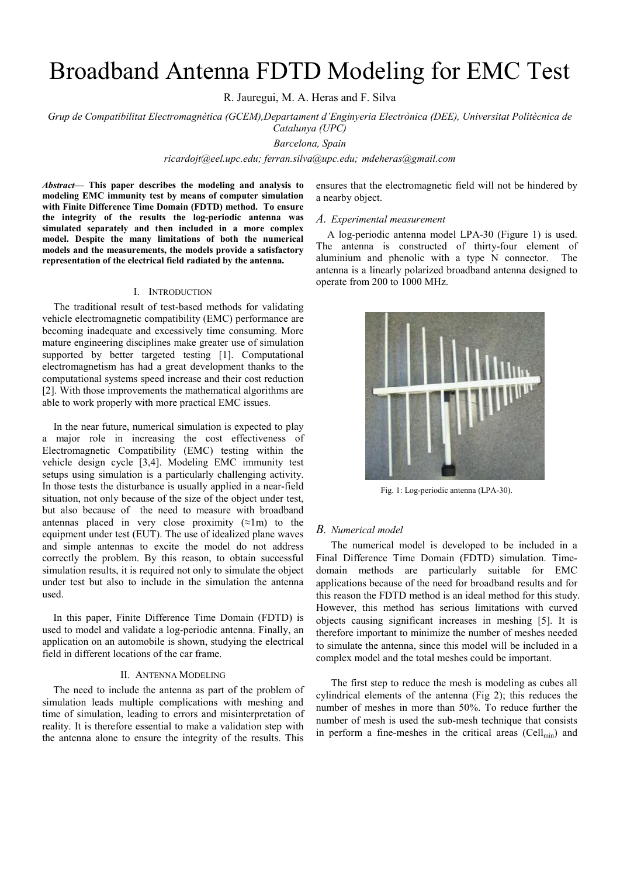# Broadband Antenna FDTD Modeling for EMC Test

R. Jauregui, M. A. Heras and F. Silva

*Grup de Compatibilitat Electromagnètica (GCEM),Departament d'Enginyeria Electrònica (DEE), Universitat Politècnica de Catalunya (UPC)* 

*Barcelona, Spain* 

*ricardojt@eel.upc.edu; ferran.silva@upc.edu; mdeheras@gmail.com* 

*Abstract***— This paper describes the modeling and analysis to modeling EMC immunity test by means of computer simulation with Finite Difference Time Domain (FDTD) method. To ensure the integrity of the results the log-periodic antenna was simulated separately and then included in a more complex model. Despite the many limitations of both the numerical models and the measurements, the models provide a satisfactory representation of the electrical field radiated by the antenna.** 

#### I. INTRODUCTION

The traditional result of test-based methods for validating vehicle electromagnetic compatibility (EMC) performance are becoming inadequate and excessively time consuming. More mature engineering disciplines make greater use of simulation supported by better targeted testing [1]. Computational electromagnetism has had a great development thanks to the computational systems speed increase and their cost reduction [2]. With those improvements the mathematical algorithms are able to work properly with more practical EMC issues.

In the near future, numerical simulation is expected to play a major role in increasing the cost effectiveness of Electromagnetic Compatibility (EMC) testing within the vehicle design cycle [3,4]. Modeling EMC immunity test setups using simulation is a particularly challenging activity. In those tests the disturbance is usually applied in a near-field situation, not only because of the size of the object under test, but also because of the need to measure with broadband antennas placed in very close proximity  $(\approx 1\,\text{m})$  to the equipment under test (EUT). The use of idealized plane waves and simple antennas to excite the model do not address correctly the problem. By this reason, to obtain successful simulation results, it is required not only to simulate the object under test but also to include in the simulation the antenna used.

In this paper, Finite Difference Time Domain (FDTD) is used to model and validate a log-periodic antenna. Finally, an application on an automobile is shown, studying the electrical field in different locations of the car frame.

### II. ANTENNA MODELING

The need to include the antenna as part of the problem of simulation leads multiple complications with meshing and time of simulation, leading to errors and misinterpretation of reality. It is therefore essential to make a validation step with the antenna alone to ensure the integrity of the results. This ensures that the electromagnetic field will not be hindered by a nearby object.

#### *A. Experimental measurement*

A log-periodic antenna model LPA-30 (Figure 1) is used. The antenna is constructed of thirty-four element of aluminium and phenolic with a type N connector. The antenna is a linearly polarized broadband antenna designed to operate from 200 to 1000 MHz.



Fig. 1: Log-periodic antenna (LPA-30).

# *B. Numerical model*

The numerical model is developed to be included in a Final Difference Time Domain (FDTD) simulation. Timedomain methods are particularly suitable for EMC applications because of the need for broadband results and for this reason the FDTD method is an ideal method for this study. However, this method has serious limitations with curved objects causing significant increases in meshing [5]. It is therefore important to minimize the number of meshes needed to simulate the antenna, since this model will be included in a complex model and the total meshes could be important.

The first step to reduce the mesh is modeling as cubes all cylindrical elements of the antenna (Fig 2); this reduces the number of meshes in more than 50%. To reduce further the number of mesh is used the sub-mesh technique that consists in perform a fine-meshes in the critical areas  $(Cell_{\min})$  and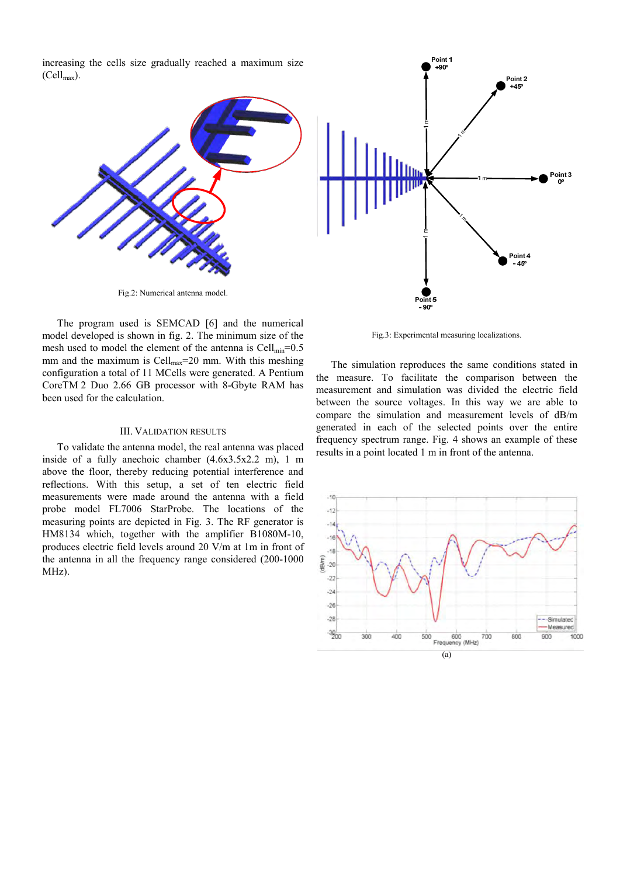increasing the cells size gradually reached a maximum size  $(Cell_{\text{max}})$ .



Fig.2: Numerical antenna model.

The program used is SEMCAD [6] and the numerical model developed is shown in fig. 2. The minimum size of the mesh used to model the element of the antenna is  $Cell_{min} = 0.5$ mm and the maximum is Cell $_{max}$ =20 mm. With this meshing configuration a total of 11 MCells were generated. A Pentium CoreTM 2 Duo 2.66 GB processor with 8-Gbyte RAM has been used for the calculation.

#### III. VALIDATION RESULTS

To validate the antenna model, the real antenna was placed inside of a fully anechoic chamber (4.6x3.5x2.2 m), 1 m above the floor, thereby reducing potential interference and reflections. With this setup, a set of ten electric field measurements were made around the antenna with a field probe model FL7006 StarProbe. The locations of the measuring points are depicted in Fig. 3. The RF generator is HM8134 which, together with the amplifier B1080M-10, produces electric field levels around 20 V/m at 1m in front of the antenna in all the frequency range considered (200-1000 MHz).



Fig.3: Experimental measuring localizations.

The simulation reproduces the same conditions stated in the measure. To facilitate the comparison between the measurement and simulation was divided the electric field between the source voltages. In this way we are able to compare the simulation and measurement levels of dB/m generated in each of the selected points over the entire frequency spectrum range. Fig. 4 shows an example of these results in a point located 1 m in front of the antenna.

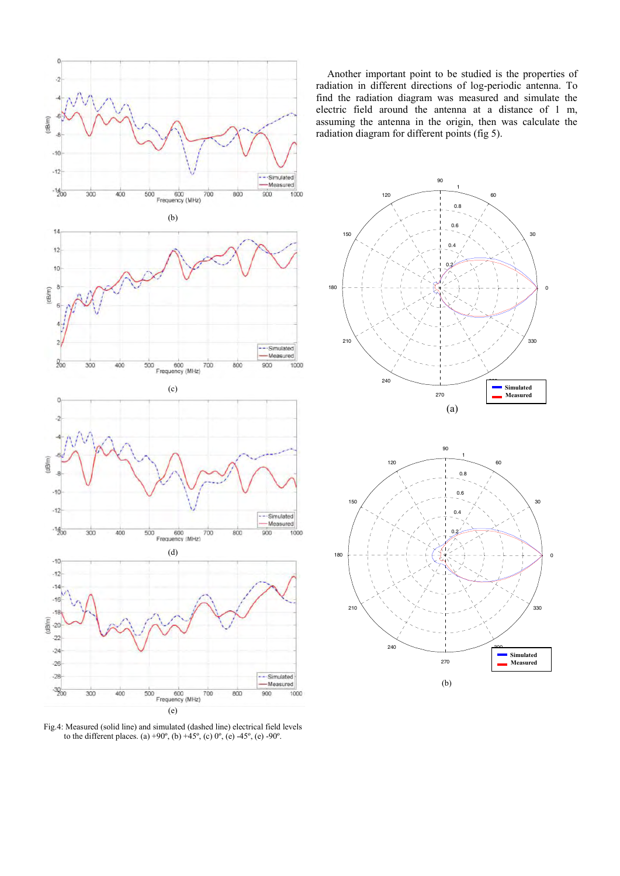

Fig.4: Measured (solid line) and simulated (dashed line) electrical field levels to the different places. (a) +90°, (b) +45°, (c) 0°, (e) -45°, (e) -90°.

Another important point to be studied is the properties of radiation in different directions of log-periodic antenna. To find the radiation diagram was measured and simulate the electric field around the antenna at a distance of 1 m, assuming the antenna in the origin, then was calculate the radiation diagram for different points (fig 5).



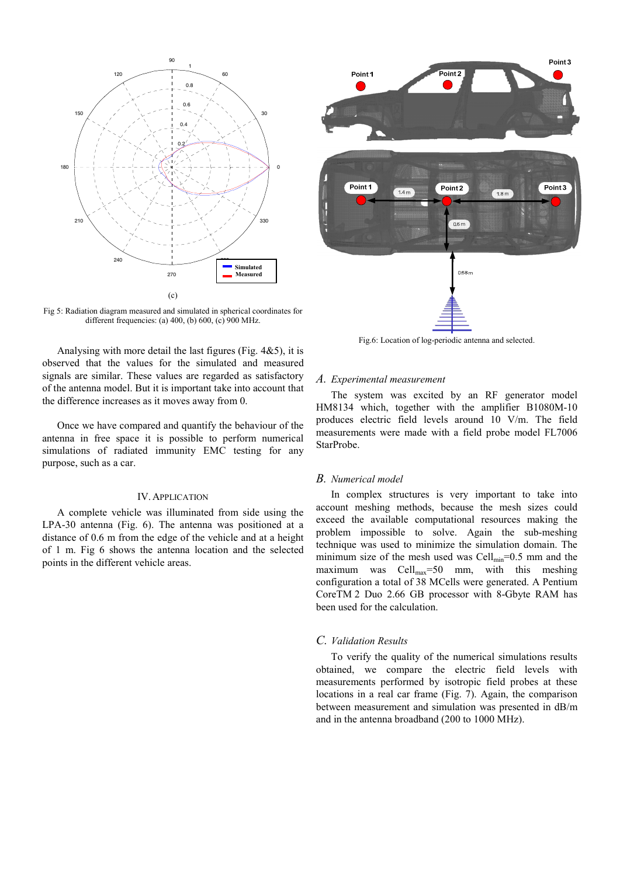

Fig 5: Radiation diagram measured and simulated in spherical coordinates for different frequencies: (a) 400, (b) 600, (c) 900 MHz.

Analysing with more detail the last figures (Fig.  $4&5$ ), it is observed that the values for the simulated and measured signals are similar. These values are regarded as satisfactory of the antenna model. But it is important take into account that the difference increases as it moves away from 0.

Once we have compared and quantify the behaviour of the antenna in free space it is possible to perform numerical simulations of radiated immunity EMC testing for any purpose, such as a car.

# IV.APPLICATION

A complete vehicle was illuminated from side using the LPA-30 antenna (Fig. 6). The antenna was positioned at a distance of 0.6 m from the edge of the vehicle and at a height of 1 m. Fig 6 shows the antenna location and the selected points in the different vehicle areas.



Fig.6: Location of log-periodic antenna and selected.

### *A. Experimental measurement*

The system was excited by an RF generator model HM8134 which, together with the amplifier B1080M-10 produces electric field levels around 10 V/m. The field measurements were made with a field probe model FL7006 StarProbe.

## *B. Numerical model*

In complex structures is very important to take into account meshing methods, because the mesh sizes could exceed the available computational resources making the problem impossible to solve. Again the sub-meshing technique was used to minimize the simulation domain. The minimum size of the mesh used was Cell $_{min}$ =0.5 mm and the maximum was  $Cell_{max} = 50$  mm, with this meshing configuration a total of 38 MCells were generated. A Pentium CoreTM 2 Duo 2.66 GB processor with 8-Gbyte RAM has been used for the calculation.

# *C. Validation Results*

To verify the quality of the numerical simulations results obtained, we compare the electric field levels with measurements performed by isotropic field probes at these locations in a real car frame (Fig. 7). Again, the comparison between measurement and simulation was presented in dB/m and in the antenna broadband (200 to 1000 MHz).